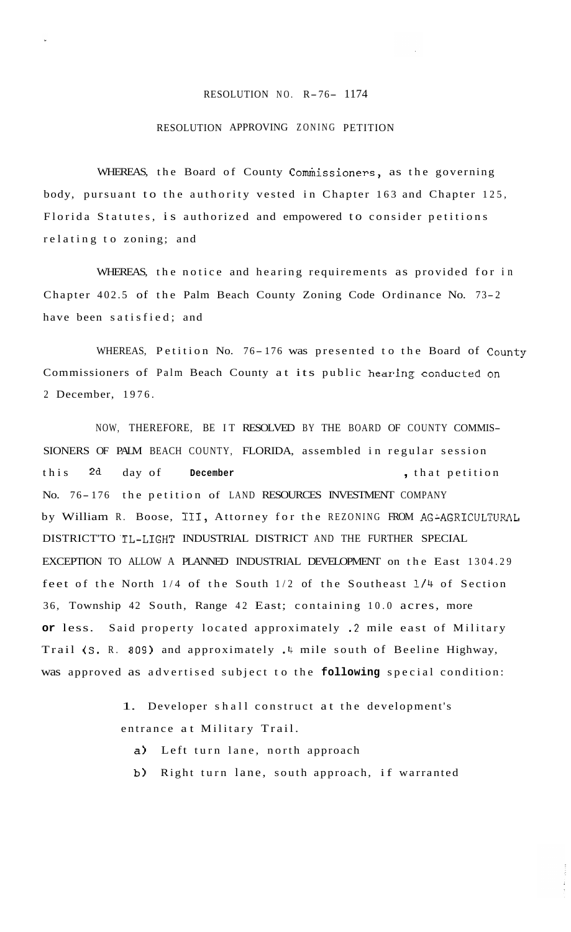## RESOLUTION NO. R-76- 1174

## RESOLUTION APPROVING ZONING PETITION

WHEREAS, the Board of County Commissioners, as the governing body, pursuant to the authority vested in Chapter 163 and Chapter 125, Florida Statutes, is authorized and empowered to consider petitions relating to zoning; and

WHEREAS, the notice and hearing requirements as provided for in Chapter 402.5 of the Palm Beach County Zoning Code Ordinance No. 73- <sup>2</sup> have been satisfied; and

WHEREAS, Petition No. 76-176 was presented to the Board of County Commissioners of Palm Beach County at its public hearing conducted on 2 December, 1976.

NOW, THEREFORE, BE IT RESOLVED BY THE BOARD OF COUNTY COMMIS-SIONERS OF PALM BEACH COUNTY, FLORIDA, assembled in regular session this **2d** day of **December** , that petition No. 76-176 the petition of LAND RESOURCES INVESTMENT COMPANY by William R. Boose, III, Attorney for the REZONING FROM AG-AGRICULTURAL DISTRICT'TO .TL-LIGHT INDUSTRIAL DISTRICT AND THE FURTHER SPECIAL EXCEPTION TO ALLOW A PLANNED INDUSTRIAL DEVELOPMENT on the East 1304.29 feet of the North 1/4 of the South 1/2 of the Southeast 1/4 of Section 36, Township 42 South, Range 42 East; containing 10.0 acres, more **or** less. Said property located approximately *.2* mile east of Military Trail (S. R. 809) and approximately .4 mile south of Beeline Highway, was approved as advertised subject to the **following** special condition:

> 1. Developer shall construct at the development's entrance at Military Trail.

- a) Left turn lane, north approach
- **b)** Right turn lane, south approach, if warranted